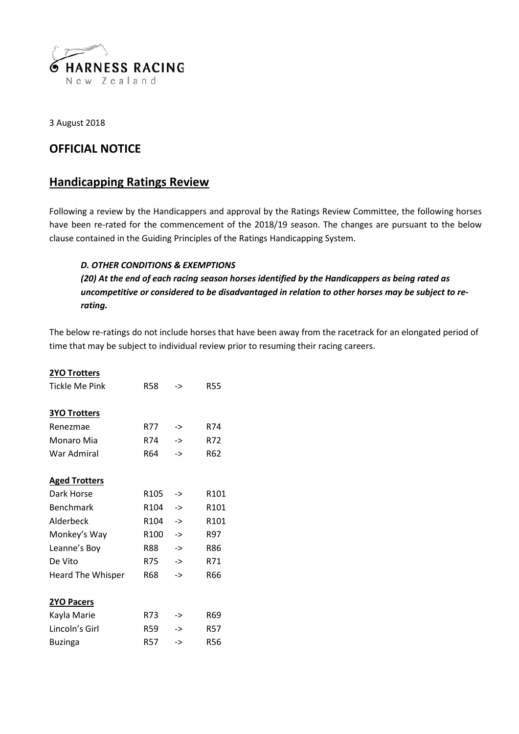

3 August 2018

## **OFFICIAL NOTICE**

## **Handicapping Ratings Review**

Following a review by the Handicappers and approval by the Ratings Review Committee, the following horses have been re-rated for the commencement of the 2018/19 season. The changes are pursuant to the below clause contained in the Guiding Principles of the Ratings Handicapping System.

## *D. OTHER CONDITIONS & EXEMPTIONS*

*(20) At the end of each racing season horses identified by the Handicappers as being rated as uncompetitive or considered to be disadvantaged in relation to other horses may be subject to rerating.*

The below re-ratings do not include horses that have been away from the racetrack for an elongated period of time that may be subject to individual review prior to resuming their racing careers.

| <b>2YO Trotters</b> |
|---------------------|
|                     |

| Tickle Me Pink           | <b>R58</b>       | ->            | R55              |
|--------------------------|------------------|---------------|------------------|
| <b>3YO Trotters</b>      |                  |               |                  |
| Renezmae                 | R77              | ->            | R74              |
| Monaro Mia               | R74              | ->            | R72              |
| War Admiral              | R64              | $\rightarrow$ | R62              |
| <b>Aged Trotters</b>     |                  |               |                  |
| Dark Horse               | R <sub>105</sub> | ->            | R101             |
| <b>Benchmark</b>         | R104             | ->            | R <sub>101</sub> |
| Alderbeck                | R <sub>104</sub> | ->            | R101             |
| Monkey's Way             | R <sub>100</sub> | ->            | R97              |
| Leanne's Boy             | R88              | ->            | <b>R86</b>       |
| De Vito                  | <b>R75</b>       | $\rightarrow$ | R71              |
| <b>Heard The Whisper</b> | R68              | ->            | <b>R66</b>       |
| 2YO Pacers               |                  |               |                  |
| Kayla Marie              | R73              | ->            | R69              |
| Lincoln's Girl           | <b>R59</b>       | ->            | <b>R57</b>       |
| Buzinga                  | <b>R57</b>       | ->            | <b>R56</b>       |